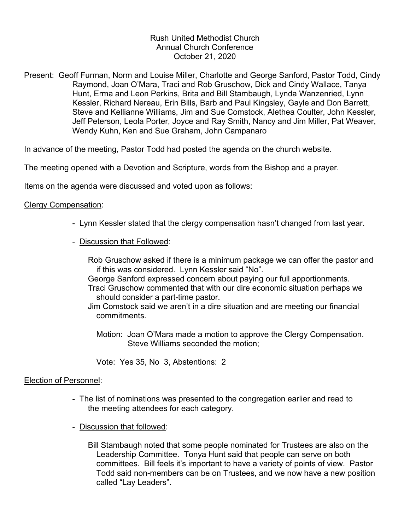# Rush United Methodist Church Annual Church Conference October 21, 2020

Present: Geoff Furman, Norm and Louise Miller, Charlotte and George Sanford, Pastor Todd, Cindy Raymond, Joan O'Mara, Traci and Rob Gruschow, Dick and Cindy Wallace, Tanya Hunt, Erma and Leon Perkins, Brita and Bill Stambaugh, Lynda Wanzenried, Lynn Kessler, Richard Nereau, Erin Bills, Barb and Paul Kingsley, Gayle and Don Barrett, Steve and Kellianne Williams, Jim and Sue Comstock, Alethea Coulter, John Kessler, Jeff Peterson, Leola Porter, Joyce and Ray Smith, Nancy and Jim Miller, Pat Weaver, Wendy Kuhn, Ken and Sue Graham, John Campanaro

In advance of the meeting, Pastor Todd had posted the agenda on the church website.

The meeting opened with a Devotion and Scripture, words from the Bishop and a prayer.

Items on the agenda were discussed and voted upon as follows:

### Clergy Compensation:

- Lynn Kessler stated that the clergy compensation hasn't changed from last year.
- Discussion that Followed:

 Rob Gruschow asked if there is a minimum package we can offer the pastor and if this was considered. Lynn Kessler said "No".

- George Sanford expressed concern about paying our full apportionments.
- Traci Gruschow commented that with our dire economic situation perhaps we should consider a part-time pastor.
- Jim Comstock said we aren't in a dire situation and are meeting our financial commitments.
	- Motion: Joan O'Mara made a motion to approve the Clergy Compensation. Steve Williams seconded the motion;

Vote: Yes 35, No 3, Abstentions: 2

### Election of Personnel:

- The list of nominations was presented to the congregation earlier and read to the meeting attendees for each category.
- Discussion that followed:

 Bill Stambaugh noted that some people nominated for Trustees are also on the Leadership Committee. Tonya Hunt said that people can serve on both committees. Bill feels it's important to have a variety of points of view. Pastor Todd said non-members can be on Trustees, and we now have a new position called "Lay Leaders".